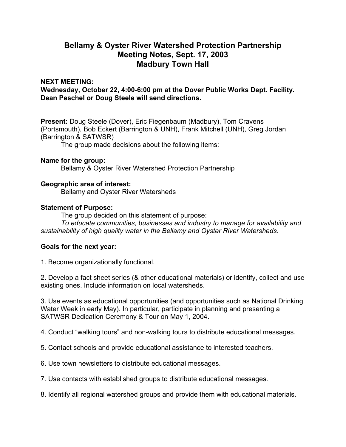# **Bellamy & Oyster River Watershed Protection Partnership Meeting Notes, Sept. 17, 2003 Madbury Town Hall**

### **NEXT MEETING:**

**Wednesday, October 22, 4:00-6:00 pm at the Dover Public Works Dept. Facility. Dean Peschel or Doug Steele will send directions.** 

**Present:** Doug Steele (Dover), Eric Fiegenbaum (Madbury), Tom Cravens (Portsmouth), Bob Eckert (Barrington & UNH), Frank Mitchell (UNH), Greg Jordan (Barrington & SATWSR)

The group made decisions about the following items:

#### **Name for the group:**

Bellamy & Oyster River Watershed Protection Partnership

#### **Geographic area of interest:**

Bellamy and Oyster River Watersheds

#### **Statement of Purpose:**

The group decided on this statement of purpose:

*To educate communities, businesses and industry to manage for availability and sustainability of high quality water in the Bellamy and Oyster River Watersheds.*

## **Goals for the next year:**

1. Become organizationally functional.

2. Develop a fact sheet series (& other educational materials) or identify, collect and use existing ones. Include information on local watersheds.

3. Use events as educational opportunities (and opportunities such as National Drinking Water Week in early May). In particular, participate in planning and presenting a SATWSR Dedication Ceremony & Tour on May 1, 2004.

4. Conduct "walking tours" and non-walking tours to distribute educational messages.

5. Contact schools and provide educational assistance to interested teachers.

6. Use town newsletters to distribute educational messages.

7. Use contacts with established groups to distribute educational messages.

8. Identify all regional watershed groups and provide them with educational materials.